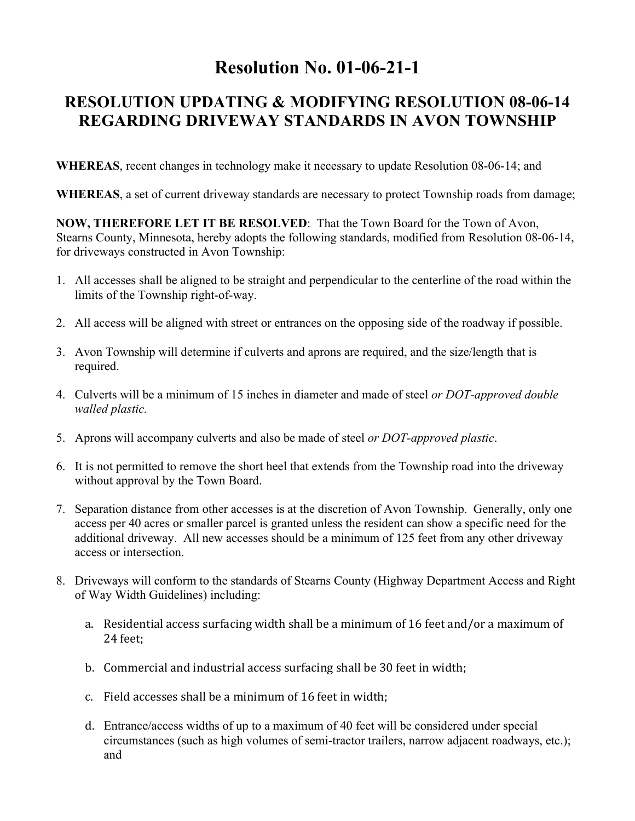## **Resolution No. 01-06-21-1**

## **RESOLUTION UPDATING & MODIFYING RESOLUTION 08-06-14 REGARDING DRIVEWAY STANDARDS IN AVON TOWNSHIP**

**WHEREAS**, recent changes in technology make it necessary to update Resolution 08-06-14; and

**WHEREAS**, a set of current driveway standards are necessary to protect Township roads from damage;

**NOW, THEREFORE LET IT BE RESOLVED**: That the Town Board for the Town of Avon, Stearns County, Minnesota, hereby adopts the following standards, modified from Resolution 08-06-14, for driveways constructed in Avon Township:

- 1. All accesses shall be aligned to be straight and perpendicular to the centerline of the road within the limits of the Township right-of-way.
- 2. All access will be aligned with street or entrances on the opposing side of the roadway if possible.
- 3. Avon Township will determine if culverts and aprons are required, and the size/length that is required.
- 4. Culverts will be a minimum of 15 inches in diameter and made of steel *or DOT-approved double walled plastic.*
- 5. Aprons will accompany culverts and also be made of steel *or DOT-approved plastic*.
- 6. It is not permitted to remove the short heel that extends from the Township road into the driveway without approval by the Town Board.
- 7. Separation distance from other accesses is at the discretion of Avon Township. Generally, only one access per 40 acres or smaller parcel is granted unless the resident can show a specific need for the additional driveway. All new accesses should be a minimum of 125 feet from any other driveway access or intersection.
- 8. Driveways will conform to the standards of Stearns County (Highway Department Access and Right of Way Width Guidelines) including:
	- a. Residential access surfacing width shall be a minimum of 16 feet and/or a maximum of 24 feet;
	- b. Commercial and industrial access surfacing shall be 30 feet in width;
	- c. Field accesses shall be a minimum of 16 feet in width;
	- d. Entrance/access widths of up to a maximum of 40 feet will be considered under special circumstances (such as high volumes of semi-tractor trailers, narrow adjacent roadways, etc.); and